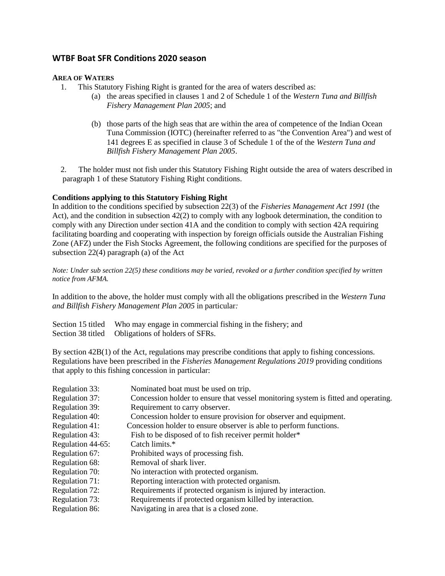# **WTBF Boat SFR Conditions 2020 season**

## **AREA OF WATERS**

- 1. This Statutory Fishing Right is granted for the area of waters described as:
	- (a) the areas specified in clauses 1 and 2 of Schedule 1 of the *Western Tuna and Billfish Fishery Management Plan 2005*; and
	- (b) those parts of the high seas that are within the area of competence of the Indian Ocean Tuna Commission (IOTC) (hereinafter referred to as "the Convention Area") and west of 141 degrees E as specified in clause 3 of Schedule 1 of the of the *Western Tuna and Billfish Fishery Management Plan 2005*.

2. The holder must not fish under this Statutory Fishing Right outside the area of waters described in paragraph 1 of these Statutory Fishing Right conditions.

## **Conditions applying to this Statutory Fishing Right**

In addition to the conditions specified by subsection 22(3) of the *Fisheries Management Act 1991* (the Act), and the condition in subsection 42(2) to comply with any logbook determination, the condition to comply with any Direction under section 41A and the condition to comply with section 42A requiring facilitating boarding and cooperating with inspection by foreign officials outside the Australian Fishing Zone (AFZ) under the Fish Stocks Agreement, the following conditions are specified for the purposes of subsection 22(4) paragraph (a) of the Act

*Note: Under sub section 22(5) these conditions may be varied, revoked or a further condition specified by written notice from AFMA.*

In addition to the above, the holder must comply with all the obligations prescribed in the *Western Tuna and Billfish Fishery Management Plan 2005* in particular*:*

| Section 15 titled Who may engage in commercial fishing in the fishery; and |
|----------------------------------------------------------------------------|
| Section 38 titled Obligations of holders of SFRs.                          |

By section 42B(1) of the Act, regulations may prescribe conditions that apply to fishing concessions. Regulations have been prescribed in the *Fisheries Management Regulations 2019* providing conditions that apply to this fishing concession in particular:

| Regulation 33:    | Nominated boat must be used on trip.                                               |
|-------------------|------------------------------------------------------------------------------------|
| Regulation 37:    | Concession holder to ensure that vessel monitoring system is fitted and operating. |
| Regulation 39:    | Requirement to carry observer.                                                     |
| Regulation 40:    | Concession holder to ensure provision for observer and equipment.                  |
| Regulation 41:    | Concession holder to ensure observer is able to perform functions.                 |
| Regulation 43:    | Fish to be disposed of to fish receiver permit holder*                             |
| Regulation 44-65: | Catch limits.*                                                                     |
| Regulation 67:    | Prohibited ways of processing fish.                                                |
| Regulation 68:    | Removal of shark liver.                                                            |
| Regulation 70:    | No interaction with protected organism.                                            |
| Regulation 71:    | Reporting interaction with protected organism.                                     |
| Regulation 72:    | Requirements if protected organism is injured by interaction.                      |
| Regulation 73:    | Requirements if protected organism killed by interaction.                          |
| Regulation 86:    | Navigating in area that is a closed zone.                                          |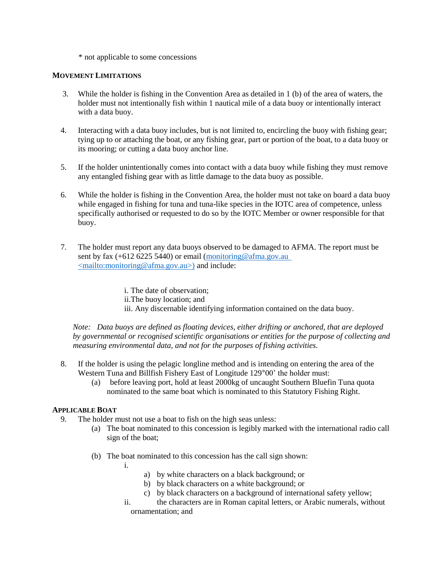\* not applicable to some concessions

## **MOVEMENT LIMITATIONS**

- 3. While the holder is fishing in the Convention Area as detailed in 1 (b) of the area of waters, the holder must not intentionally fish within 1 nautical mile of a data buoy or intentionally interact with a data buoy.
- 4. Interacting with a data buoy includes, but is not limited to, encircling the buoy with fishing gear; tying up to or attaching the boat, or any fishing gear, part or portion of the boat, to a data buoy or its mooring; or cutting a data buoy anchor line.
- 5. If the holder unintentionally comes into contact with a data buoy while fishing they must remove any entangled fishing gear with as little damage to the data buoy as possible.
- 6. While the holder is fishing in the Convention Area, the holder must not take on board a data buoy while engaged in fishing for tuna and tuna-like species in the IOTC area of competence, unless specifically authorised or requested to do so by the IOTC Member or owner responsible for that buoy.
- 7. The holder must report any data buoys observed to be damaged to AFMA. The report must be sent by fax (+612 6225 5440) or email (monitoring @afma.gov.au <mailto:monitoring@afma.gov.au>) and include:

i. The date of observation; ii.The buoy location; and iii. Any discernable identifying information contained on the data buoy.

*Note: Data buoys are defined as floating devices, either drifting or anchored, that are deployed by governmental or recognised scientific organisations or entities for the purpose of collecting and measuring environmental data, and not for the purposes of fishing activities.* 

- 8. If the holder is using the pelagic longline method and is intending on entering the area of the Western Tuna and Billfish Fishery East of Longitude 129°00' the holder must:
	- (a) before leaving port, hold at least 2000kg of uncaught Southern Bluefin Tuna quota nominated to the same boat which is nominated to this Statutory Fishing Right.

## **APPLICABLE BOAT**

- 9. The holder must not use a boat to fish on the high seas unless:
	- (a) The boat nominated to this concession is legibly marked with the international radio call sign of the boat;
	- (b) The boat nominated to this concession has the call sign shown:
		- i.
- a) by white characters on a black background; or
- b) by black characters on a white background; or
- c) by black characters on a background of international safety yellow;
- ii. the characters are in Roman capital letters, or Arabic numerals, without ornamentation; and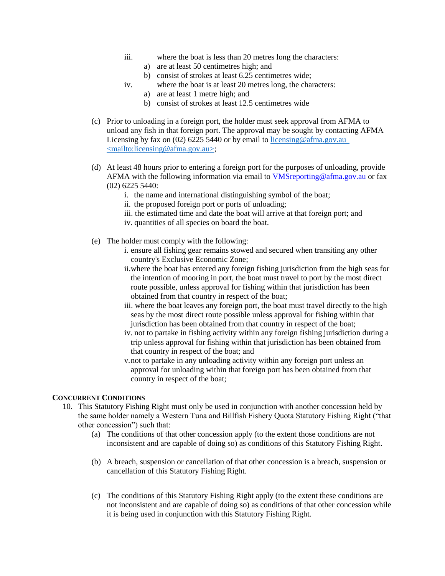- iii. where the boat is less than 20 metres long the characters:
	- a) are at least 50 centimetres high; and
	- b) consist of strokes at least 6.25 centimetres wide;
- iv. where the boat is at least 20 metres long, the characters:
	- a) are at least 1 metre high; and
	- b) consist of strokes at least 12.5 centimetres wide
- (c) Prior to unloading in a foreign port, the holder must seek approval from AFMA to unload any fish in that foreign port. The approval may be sought by contacting AFMA Licensing by fax on (02) 6225 5440 or by email to licensing @afma.gov.au <mailto:licensing@afma.gov.au>;
- (d) At least 48 hours prior to entering a foreign port for the purposes of unloading, provide AFMA with the following information via email to VMSreporting@afma.gov.au or fax (02) 6225 5440:
	- i. the name and international distinguishing symbol of the boat;
	- ii. the proposed foreign port or ports of unloading;
	- iii. the estimated time and date the boat will arrive at that foreign port; and
	- iv. quantities of all species on board the boat.
- (e) The holder must comply with the following:
	- i. ensure all fishing gear remains stowed and secured when transiting any other country's Exclusive Economic Zone;
	- ii.where the boat has entered any foreign fishing jurisdiction from the high seas for the intention of mooring in port, the boat must travel to port by the most direct route possible, unless approval for fishing within that jurisdiction has been obtained from that country in respect of the boat;
	- iii. where the boat leaves any foreign port, the boat must travel directly to the high seas by the most direct route possible unless approval for fishing within that jurisdiction has been obtained from that country in respect of the boat;
	- iv. not to partake in fishing activity within any foreign fishing jurisdiction during a trip unless approval for fishing within that jurisdiction has been obtained from that country in respect of the boat; and
	- v.not to partake in any unloading activity within any foreign port unless an approval for unloading within that foreign port has been obtained from that country in respect of the boat;

### **CONCURRENT CONDITIONS**

- 10. This Statutory Fishing Right must only be used in conjunction with another concession held by the same holder namely a Western Tuna and Billfish Fishery Quota Statutory Fishing Right ("that other concession") such that:
	- (a) The conditions of that other concession apply (to the extent those conditions are not inconsistent and are capable of doing so) as conditions of this Statutory Fishing Right.
	- (b) A breach, suspension or cancellation of that other concession is a breach, suspension or cancellation of this Statutory Fishing Right.
	- (c) The conditions of this Statutory Fishing Right apply (to the extent these conditions are not inconsistent and are capable of doing so) as conditions of that other concession while it is being used in conjunction with this Statutory Fishing Right.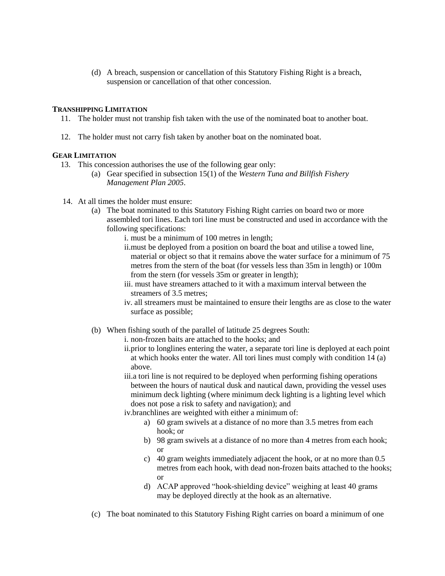(d) A breach, suspension or cancellation of this Statutory Fishing Right is a breach, suspension or cancellation of that other concession.

### **TRANSHIPPING LIMITATION**

- 11. The holder must not tranship fish taken with the use of the nominated boat to another boat.
- 12. The holder must not carry fish taken by another boat on the nominated boat.

## **GEAR LIMITATION**

- 13. This concession authorises the use of the following gear only:
	- (a) Gear specified in subsection 15(1) of the *Western Tuna and Billfish Fishery Management Plan 2005*.
- 14. At all times the holder must ensure:
	- (a) The boat nominated to this Statutory Fishing Right carries on board two or more assembled tori lines. Each tori line must be constructed and used in accordance with the following specifications:
		- i. must be a minimum of 100 metres in length;
		- ii.must be deployed from a position on board the boat and utilise a towed line, material or object so that it remains above the water surface for a minimum of 75 metres from the stern of the boat (for vessels less than 35m in length) or 100m from the stern (for vessels 35m or greater in length);
		- iii. must have streamers attached to it with a maximum interval between the streamers of 3.5 metres;
		- iv. all streamers must be maintained to ensure their lengths are as close to the water surface as possible;
	- (b) When fishing south of the parallel of latitude 25 degrees South:
		- i. non-frozen baits are attached to the hooks; and
		- ii.prior to longlines entering the water, a separate tori line is deployed at each point at which hooks enter the water. All tori lines must comply with condition 14 (a) above.
		- iii.a tori line is not required to be deployed when performing fishing operations between the hours of nautical dusk and nautical dawn, providing the vessel uses minimum deck lighting (where minimum deck lighting is a lighting level which does not pose a risk to safety and navigation); and
		- iv.branchlines are weighted with either a minimum of:
			- a) 60 gram swivels at a distance of no more than 3.5 metres from each hook; or
			- b) 98 gram swivels at a distance of no more than 4 metres from each hook; or
			- c) 40 gram weights immediately adjacent the hook, or at no more than 0.5 metres from each hook, with dead non-frozen baits attached to the hooks; or
			- d) ACAP approved "hook-shielding device" weighing at least 40 grams may be deployed directly at the hook as an alternative.
	- (c) The boat nominated to this Statutory Fishing Right carries on board a minimum of one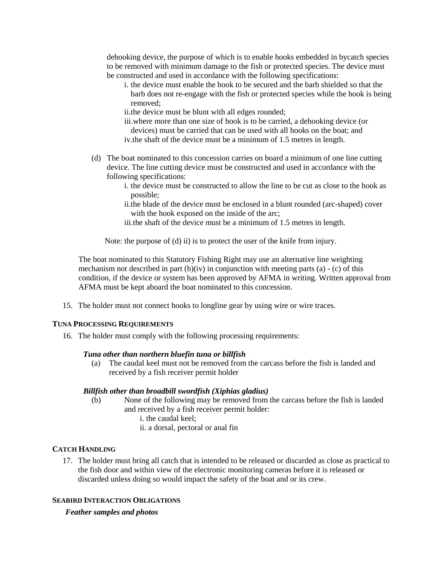dehooking device, the purpose of which is to enable hooks embedded in bycatch species to be removed with minimum damage to the fish or protected species. The device must be constructed and used in accordance with the following specifications:

- i. the device must enable the hook to be secured and the barb shielded so that the barb does not re-engage with the fish or protected species while the hook is being removed;
- ii.the device must be blunt with all edges rounded;
- iii.where more than one size of hook is to be carried, a dehooking device (or devices) must be carried that can be used with all hooks on the boat; and iv.the shaft of the device must be a minimum of 1.5 metres in length.
- (d) The boat nominated to this concession carries on board a minimum of one line cutting device. The line cutting device must be constructed and used in accordance with the following specifications:
	- i. the device must be constructed to allow the line to be cut as close to the hook as possible;
	- ii.the blade of the device must be enclosed in a blunt rounded (arc-shaped) cover with the hook exposed on the inside of the arc;
	- iii.the shaft of the device must be a minimum of 1.5 metres in length.

Note: the purpose of (d) ii) is to protect the user of the knife from injury.

The boat nominated to this Statutory Fishing Right may use an alternative line weighting mechanism not described in part  $(b)(iv)$  in conjunction with meeting parts (a) - (c) of this condition, if the device or system has been approved by AFMA in writing. Written approval from AFMA must be kept aboard the boat nominated to this concession.

15. The holder must not connect hooks to longline gear by using wire or wire traces.

## **TUNA PROCESSING REQUIREMENTS**

16. The holder must comply with the following processing requirements:

## *Tuna other than northern bluefin tuna or billfish*

(a) The caudal keel must not be removed from the carcass before the fish is landed and received by a fish receiver permit holder

## *Billfish other than broadbill swordfish (Xiphias gladius)*

- (b) None of the following may be removed from the carcass before the fish is landed and received by a fish receiver permit holder:
	- i. the caudal keel;
	- ii. a dorsal, pectoral or anal fin

# **CATCH HANDLING**

17. The holder must bring all catch that is intended to be released or discarded as close as practical to the fish door and within view of the electronic monitoring cameras before it is released or discarded unless doing so would impact the safety of the boat and or its crew.

## **SEABIRD INTERACTION OBLIGATIONS**

*Feather samples and photos*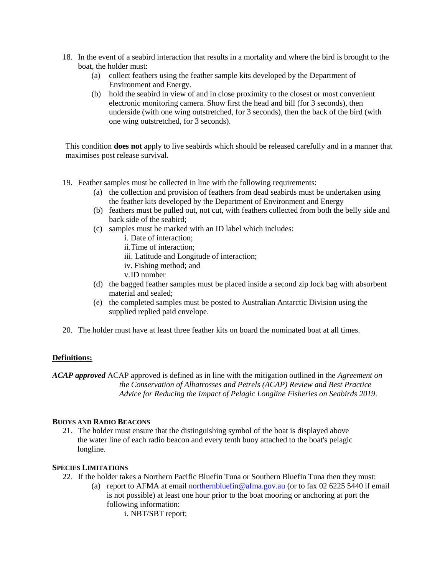- 18. In the event of a seabird interaction that results in a mortality and where the bird is brought to the boat, the holder must:
	- (a) collect feathers using the feather sample kits developed by the Department of Environment and Energy.
	- (b) hold the seabird in view of and in close proximity to the closest or most convenient electronic monitoring camera. Show first the head and bill (for 3 seconds), then underside (with one wing outstretched, for 3 seconds), then the back of the bird (with one wing outstretched, for 3 seconds).

This condition **does not** apply to live seabirds which should be released carefully and in a manner that maximises post release survival.

- 19. Feather samples must be collected in line with the following requirements:
	- (a) the collection and provision of feathers from dead seabirds must be undertaken using the feather kits developed by the Department of Environment and Energy
	- (b) feathers must be pulled out, not cut, with feathers collected from both the belly side and back side of the seabird;
	- (c) samples must be marked with an ID label which includes:
		- i. Date of interaction;
		- ii.Time of interaction;
		- iii. Latitude and Longitude of interaction;
		- iv. Fishing method; and
		- v.ID number
	- (d) the bagged feather samples must be placed inside a second zip lock bag with absorbent material and sealed;
	- (e) the completed samples must be posted to Australian Antarctic Division using the supplied replied paid envelope.
- 20. The holder must have at least three feather kits on board the nominated boat at all times.

## **Definitions:**

*ACAP approved* ACAP approved is defined as in line with the mitigation outlined in the *Agreement on the Conservation of Albatrosses and Petrels (ACAP) Review and Best Practice Advice for Reducing the Impact of Pelagic Longline Fisheries on Seabirds 2019*.

## **BUOYS AND RADIO BEACONS**

21. The holder must ensure that the distinguishing symbol of the boat is displayed above the water line of each radio beacon and every tenth buoy attached to the boat's pelagic longline.

## **SPECIES LIMITATIONS**

- 22. If the holder takes a Northern Pacific Bluefin Tuna or Southern Bluefin Tuna then they must:
	- (a) report to AFMA at email northernbluefin@afma.gov.au (or to fax 02 6225 5440 if email is not possible) at least one hour prior to the boat mooring or anchoring at port the following information:
		- i. NBT/SBT report;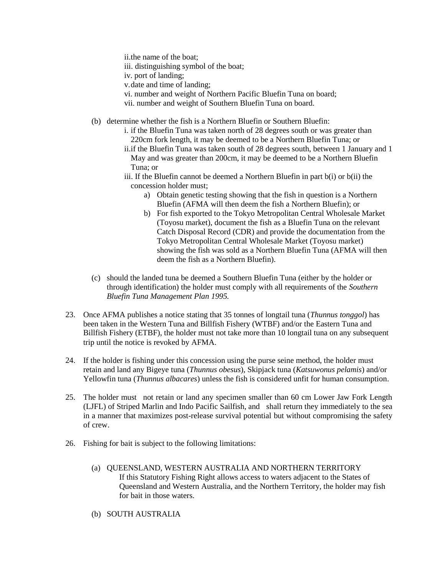ii.the name of the boat;

iii. distinguishing symbol of the boat;

iv. port of landing;

v.date and time of landing;

vi. number and weight of Northern Pacific Bluefin Tuna on board;

vii. number and weight of Southern Bluefin Tuna on board.

(b) determine whether the fish is a Northern Bluefin or Southern Bluefin:

- i. if the Bluefin Tuna was taken north of 28 degrees south or was greater than 220cm fork length, it may be deemed to be a Northern Bluefin Tuna; or
- ii.if the Bluefin Tuna was taken south of 28 degrees south, between 1 January and 1 May and was greater than 200cm, it may be deemed to be a Northern Bluefin Tuna; or
- iii. If the Bluefin cannot be deemed a Northern Bluefin in part b(i) or b(ii) the concession holder must;
	- a) Obtain genetic testing showing that the fish in question is a Northern Bluefin (AFMA will then deem the fish a Northern Bluefin); or
	- b) For fish exported to the Tokyo Metropolitan Central Wholesale Market (Toyosu market), document the fish as a Bluefin Tuna on the relevant Catch Disposal Record (CDR) and provide the documentation from the Tokyo Metropolitan Central Wholesale Market (Toyosu market) showing the fish was sold as a Northern Bluefin Tuna (AFMA will then deem the fish as a Northern Bluefin).
- (c) should the landed tuna be deemed a Southern Bluefin Tuna (either by the holder or through identification) the holder must comply with all requirements of the *Southern Bluefin Tuna Management Plan 1995.*
- 23. Once AFMA publishes a notice stating that 35 tonnes of longtail tuna (*Thunnus tonggol*) has been taken in the Western Tuna and Billfish Fishery (WTBF) and/or the Eastern Tuna and Billfish Fishery (ETBF), the holder must not take more than 10 longtail tuna on any subsequent trip until the notice is revoked by AFMA.
- 24. If the holder is fishing under this concession using the purse seine method, the holder must retain and land any Bigeye tuna (*Thunnus obesus*), Skipjack tuna (*Katsuwonus pelamis*) and/or Yellowfin tuna (*Thunnus albacares*) unless the fish is considered unfit for human consumption.
- 25. The holder must not retain or land any specimen smaller than 60 cm Lower Jaw Fork Length (LJFL) of Striped Marlin and Indo Pacific Sailfish, and shall return they immediately to the sea in a manner that maximizes post-release survival potential but without compromising the safety of crew.
- 26. Fishing for bait is subject to the following limitations:
	- (a) QUEENSLAND, WESTERN AUSTRALIA AND NORTHERN TERRITORY If this Statutory Fishing Right allows access to waters adjacent to the States of Queensland and Western Australia, and the Northern Territory, the holder may fish for bait in those waters.
	- (b) SOUTH AUSTRALIA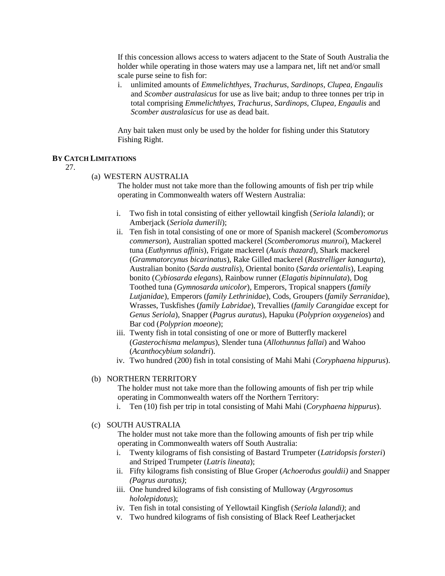If this concession allows access to waters adjacent to the State of South Australia the holder while operating in those waters may use a lampara net, lift net and/or small scale purse seine to fish for:

i. unlimited amounts of *Emmelichthyes, Trachurus, Sardinops, Clupea, Engaulis* and *Scomber australasicus* for use as live bait; andup to three tonnes per trip in total comprising *Emmelichthyes, Trachurus, Sardinops, Clupea, Engaulis* and *Scomber australasicus* for use as dead bait.

Any bait taken must only be used by the holder for fishing under this Statutory Fishing Right.

#### **BY CATCH LIMITATIONS**

27.

#### (a) WESTERN AUSTRALIA

The holder must not take more than the following amounts of fish per trip while operating in Commonwealth waters off Western Australia:

- i. Two fish in total consisting of either yellowtail kingfish (*Seriola lalandi*); or Amberjack (*Seriola dumerili*);
- ii. Ten fish in total consisting of one or more of Spanish mackerel (*Scomberomorus commerson*), Australian spotted mackerel (*Scomberomorus munroi*), Mackerel tuna (*Euthynnus affinis*), Frigate mackerel (*Auxis thazard*), Shark mackerel (*Grammatorcynus bicarinatus*), Rake Gilled mackerel (*Rastrelliger kanagurta*), Australian bonito (*Sarda australis*), Oriental bonito (*Sarda orientalis*), Leaping bonito (*Cybiosarda elegans*), Rainbow runner (*Elagatis bipinnulata*), Dog Toothed tuna (*Gymnosarda unicolor*), Emperors, Tropical snappers (*family Lutjanidae*), Emperors (*family Lethrinidae*), Cods, Groupers (*family Serranidae*), Wrasses, Tuskfishes (*family Labridae*), Trevallies (*family Carangidae* except for *Genus Seriola*), Snapper (*Pagrus auratus*), Hapuku (*Polyprion oxygeneios*) and Bar cod (*Polyprion moeone*);
- iii. Twenty fish in total consisting of one or more of Butterfly mackerel (*Gasterochisma melampus*), Slender tuna (*Allothunnus fallai*) and Wahoo (*Acanthocybium solandri*).
- iv. Two hundred (200) fish in total consisting of Mahi Mahi (*Coryphaena hippurus*).

### (b) NORTHERN TERRITORY

The holder must not take more than the following amounts of fish per trip while operating in Commonwealth waters off the Northern Territory:

i. Ten (10) fish per trip in total consisting of Mahi Mahi (*Coryphaena hippurus*).

## (c) SOUTH AUSTRALIA

The holder must not take more than the following amounts of fish per trip while operating in Commonwealth waters off South Australia:

- i. Twenty kilograms of fish consisting of Bastard Trumpeter (*Latridopsis forsteri*) and Striped Trumpeter (*Latris lineata*);
- ii. Fifty kilograms fish consisting of Blue Groper (*Achoerodus gouldii)* and Snapper *(Pagrus auratus)*;
- iii. One hundred kilograms of fish consisting of Mulloway (*Argyrosomus hololepidotus*);
- iv. Ten fish in total consisting of Yellowtail Kingfish (*Seriola lalandi)*; and
- v. Two hundred kilograms of fish consisting of Black Reef Leatherjacket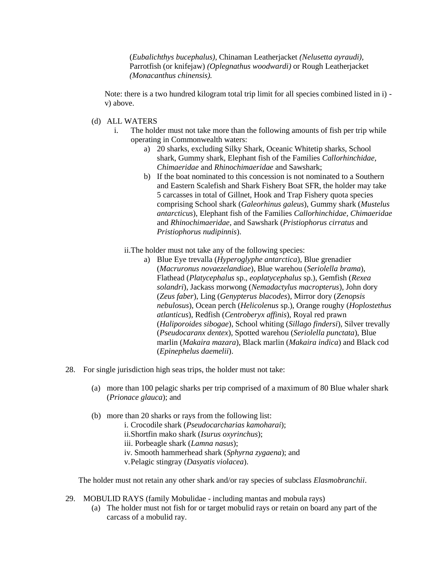(*Eubalichthys bucephalus),* Chinaman Leatherjacket *(Nelusetta ayraudi),*  Parrotfish (or knifejaw) *(Oplegnathus woodwardi)* or Rough Leatherjacket *(Monacanthus chinensis).*

Note: there is a two hundred kilogram total trip limit for all species combined listed in i) v) above.

- (d) ALL WATERS
	- i. The holder must not take more than the following amounts of fish per trip while operating in Commonwealth waters:
		- a) 20 sharks, excluding Silky Shark, Oceanic Whitetip sharks, School shark, Gummy shark, Elephant fish of the Families *Callorhinchidae, Chimaeridae* and *Rhinochimaeridae* and Sawshark;
		- b) If the boat nominated to this concession is not nominated to a Southern and Eastern Scalefish and Shark Fishery Boat SFR, the holder may take 5 carcasses in total of Gillnet, Hook and Trap Fishery quota species comprising School shark (*Galeorhinus galeus*), Gummy shark (*Mustelus antarcticus*), Elephant fish of the Families *Callorhinchidae, Chimaeridae* and *Rhinochimaeridae*, and Sawshark (*Pristiophorus cirratus* and *Pristiophorus nudipinnis*).
		- ii.The holder must not take any of the following species:
			- a) Blue Eye trevalla (*Hyperoglyphe antarctica*), Blue grenadier (*Macruronus novaezelandiae*), Blue warehou (*Seriolella brama*), Flathead (*Platycephalus* sp., *eoplatycephalus* sp.), Gemfish (*Rexea solandri*), Jackass morwong (*Nemadactylus macropterus*), John dory (*Zeus faber*), Ling (*Genypterus blacodes*), Mirror dory (*Zenopsis nebulosus*), Ocean perch (*Helicolenus* sp.), Orange roughy (*Hoplostethus atlanticus*), Redfish (*Centroberyx affinis*), Royal red prawn (*Haliporoides sibogae*), School whiting (*Sillago findersi*), Silver trevally (*Pseudocaranx dentex*), Spotted warehou (*Seriolella punctata*), Blue marlin (*Makaira mazara*), Black marlin (*Makaira indica*) and Black cod (*Epinephelus daemelii*).
- 28. For single jurisdiction high seas trips, the holder must not take:
	- (a) more than 100 pelagic sharks per trip comprised of a maximum of 80 Blue whaler shark (*Prionace glauca*); and
	- (b) more than 20 sharks or rays from the following list:
		- i. Crocodile shark (*Pseudocarcharias kamoharai*); ii.Shortfin mako shark (*Isurus oxyrinchus*); iii. Porbeagle shark (*Lamna nasus*); iv. Smooth hammerhead shark (*Sphyrna zygaena*); and v.Pelagic stingray (*Dasyatis violacea*).

The holder must not retain any other shark and/or ray species of subclass *Elasmobranchii*.

- 29. MOBULID RAYS (family Mobulidae including mantas and mobula rays)
	- (a) The holder must not fish for or target mobulid rays or retain on board any part of the carcass of a mobulid ray.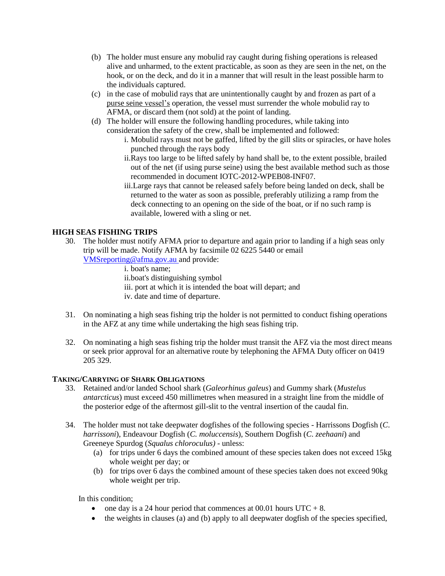- (b) The holder must ensure any mobulid ray caught during fishing operations is released alive and unharmed, to the extent practicable, as soon as they are seen in the net, on the hook, or on the deck, and do it in a manner that will result in the least possible harm to the individuals captured.
- (c) in the case of mobulid rays that are unintentionally caught by and frozen as part of a purse seine vessel's operation, the vessel must surrender the whole mobulid ray to AFMA, or discard them (not sold) at the point of landing.
- (d) The holder will ensure the following handling procedures, while taking into consideration the safety of the crew, shall be implemented and followed:
	- i. Mobulid rays must not be gaffed, lifted by the gill slits or spiracles, or have holes punched through the rays body
	- ii.Rays too large to be lifted safely by hand shall be, to the extent possible, brailed out of the net (if using purse seine) using the best available method such as those recommended in document IOTC-2012-WPEB08-INF07.
	- iii.Large rays that cannot be released safely before being landed on deck, shall be returned to the water as soon as possible, preferably utilizing a ramp from the deck connecting to an opening on the side of the boat, or if no such ramp is available, lowered with a sling or net.

# **HIGH SEAS FISHING TRIPS**

- 30. The holder must notify AFMA prior to departure and again prior to landing if a high seas only trip will be made. Notify AFMA by facsimile 02 6225 5440 or email VMSreporting@afma.gov.au and provide:
	- i. boat's name; ii.boat's distinguishing symbol iii. port at which it is intended the boat will depart; and iv. date and time of departure.
- 31. On nominating a high seas fishing trip the holder is not permitted to conduct fishing operations in the AFZ at any time while undertaking the high seas fishing trip.
- 32. On nominating a high seas fishing trip the holder must transit the AFZ via the most direct means or seek prior approval for an alternative route by telephoning the AFMA Duty officer on 0419 205 329.

# **TAKING/CARRYING OF SHARK OBLIGATIONS**

- 33. Retained and/or landed School shark (*Galeorhinus galeus*) and Gummy shark (*Mustelus antarcticus*) must exceed 450 millimetres when measured in a straight line from the middle of the posterior edge of the aftermost gill-slit to the ventral insertion of the caudal fin.
- 34. The holder must not take deepwater dogfishes of the following species Harrissons Dogfish (*C*. *harrissoni*), Endeavour Dogfish (*C. moluccensis*), Southern Dogfish (*C*. *zeehaani*) and Greeneye Spurdog (*Squalus chloroculus)* - unless:
	- (a) for trips under 6 days the combined amount of these species taken does not exceed 15kg whole weight per day; or
	- (b) for trips over 6 days the combined amount of these species taken does not exceed 90kg whole weight per trip.

In this condition;

- one day is a 24 hour period that commences at 00.01 hours  $UTC + 8$ .
- $\bullet$  the weights in clauses (a) and (b) apply to all deepwater dogfish of the species specified,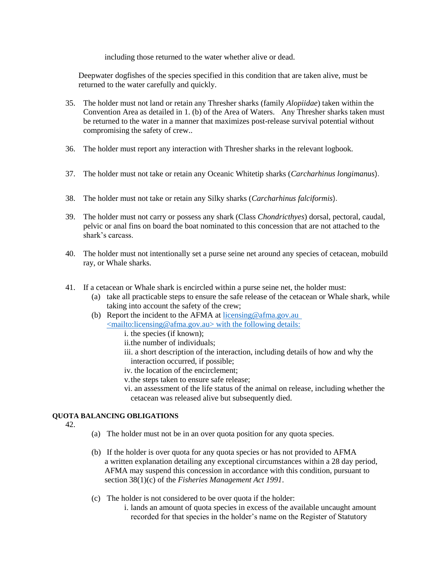including those returned to the water whether alive or dead.

Deepwater dogfishes of the species specified in this condition that are taken alive, must be returned to the water carefully and quickly.

- 35. The holder must not land or retain any Thresher sharks (family *Alopiidae*) taken within the Convention Area as detailed in 1. (b) of the Area of Waters. Any Thresher sharks taken must be returned to the water in a manner that maximizes post-release survival potential without compromising the safety of crew..
- 36. The holder must report any interaction with Thresher sharks in the relevant logbook.
- 37. The holder must not take or retain any Oceanic Whitetip sharks (*Carcharhinus longimanus*).
- 38. The holder must not take or retain any Silky sharks (*Carcharhinus falciformis*).
- 39. The holder must not carry or possess any shark (Class *Chondricthyes*) dorsal, pectoral, caudal, pelvic or anal fins on board the boat nominated to this concession that are not attached to the shark's carcass.
- 40. The holder must not intentionally set a purse seine net around any species of cetacean, mobuild ray, or Whale sharks.
- 41. If a cetacean or Whale shark is encircled within a purse seine net, the holder must:
	- (a) take all practicable steps to ensure the safe release of the cetacean or Whale shark, while taking into account the safety of the crew;
	- (b) Report the incident to the AFMA at licensing@afma.gov.au <mailto:licensing@afma.gov.au> with the following details:
		- i. the species (if known);
		- ii.the number of individuals;
		- iii. a short description of the interaction, including details of how and why the interaction occurred, if possible;
		- iv. the location of the encirclement;
		- v.the steps taken to ensure safe release;
		- vi. an assessment of the life status of the animal on release, including whether the cetacean was released alive but subsequently died.

# **QUOTA BALANCING OBLIGATIONS**

42.

- (a) The holder must not be in an over quota position for any quota species.
- (b) If the holder is over quota for any quota species or has not provided to AFMA a written explanation detailing any exceptional circumstances within a 28 day period, AFMA may suspend this concession in accordance with this condition, pursuant to section 38(1)(c) of the *Fisheries Management Act 1991*.
- (c) The holder is not considered to be over quota if the holder:
	- i. lands an amount of quota species in excess of the available uncaught amount recorded for that species in the holder's name on the Register of Statutory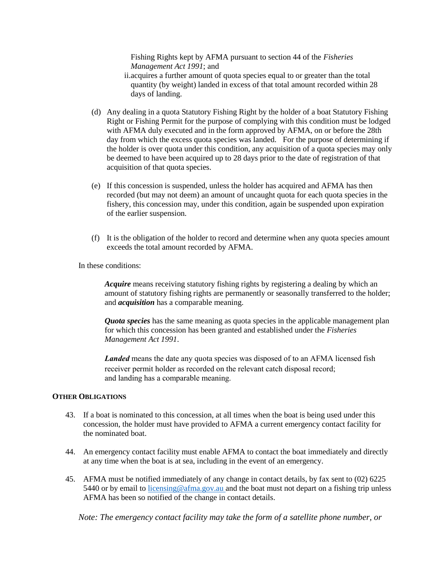Fishing Rights kept by AFMA pursuant to section 44 of the *Fisheries Management Act 1991*; and

- ii.acquires a further amount of quota species equal to or greater than the total quantity (by weight) landed in excess of that total amount recorded within 28 days of landing.
- (d) Any dealing in a quota Statutory Fishing Right by the holder of a boat Statutory Fishing Right or Fishing Permit for the purpose of complying with this condition must be lodged with AFMA duly executed and in the form approved by AFMA, on or before the 28th day from which the excess quota species was landed. For the purpose of determining if the holder is over quota under this condition, any acquisition of a quota species may only be deemed to have been acquired up to 28 days prior to the date of registration of that acquisition of that quota species.
- (e) If this concession is suspended, unless the holder has acquired and AFMA has then recorded (but may not deem) an amount of uncaught quota for each quota species in the fishery, this concession may, under this condition, again be suspended upon expiration of the earlier suspension.
- (f) It is the obligation of the holder to record and determine when any quota species amount exceeds the total amount recorded by AFMA.

In these conditions:

*Acquire* means receiving statutory fishing rights by registering a dealing by which an amount of statutory fishing rights are permanently or seasonally transferred to the holder; and *acquisition* has a comparable meaning.

*Quota species* has the same meaning as quota species in the applicable management plan for which this concession has been granted and established under the *Fisheries Management Act 1991*.

*Landed* means the date any quota species was disposed of to an AFMA licensed fish receiver permit holder as recorded on the relevant catch disposal record; and landing has a comparable meaning.

### **OTHER OBLIGATIONS**

- 43. If a boat is nominated to this concession, at all times when the boat is being used under this concession, the holder must have provided to AFMA a current emergency contact facility for the nominated boat.
- 44. An emergency contact facility must enable AFMA to contact the boat immediately and directly at any time when the boat is at sea, including in the event of an emergency.
- 45. AFMA must be notified immediately of any change in contact details, by fax sent to (02) 6225 5440 or by email to licensing@afma.gov.au and the boat must not depart on a fishing trip unless AFMA has been so notified of the change in contact details.

*Note: The emergency contact facility may take the form of a satellite phone number, or*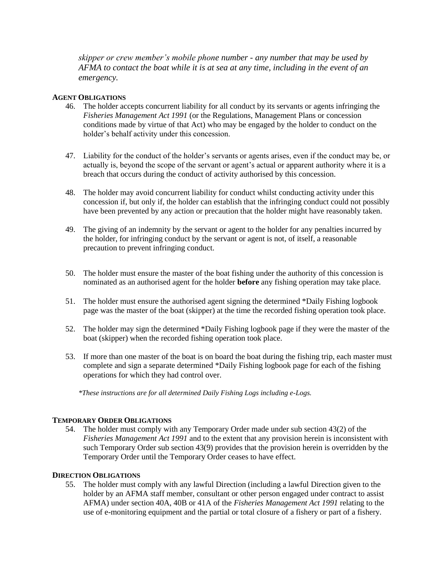*skipper or crew member's mobile phone number - any number that may be used by AFMA to contact the boat while it is at sea at any time, including in the event of an emergency.* 

### **AGENT OBLIGATIONS**

- 46. The holder accepts concurrent liability for all conduct by its servants or agents infringing the *Fisheries Management Act 1991* (or the Regulations, Management Plans or concession conditions made by virtue of that Act) who may be engaged by the holder to conduct on the holder's behalf activity under this concession.
- 47. Liability for the conduct of the holder's servants or agents arises, even if the conduct may be, or actually is, beyond the scope of the servant or agent's actual or apparent authority where it is a breach that occurs during the conduct of activity authorised by this concession.
- 48. The holder may avoid concurrent liability for conduct whilst conducting activity under this concession if, but only if, the holder can establish that the infringing conduct could not possibly have been prevented by any action or precaution that the holder might have reasonably taken.
- 49. The giving of an indemnity by the servant or agent to the holder for any penalties incurred by the holder, for infringing conduct by the servant or agent is not, of itself, a reasonable precaution to prevent infringing conduct.
- 50. The holder must ensure the master of the boat fishing under the authority of this concession is nominated as an authorised agent for the holder **before** any fishing operation may take place.
- 51. The holder must ensure the authorised agent signing the determined \*Daily Fishing logbook page was the master of the boat (skipper) at the time the recorded fishing operation took place.
- 52. The holder may sign the determined \*Daily Fishing logbook page if they were the master of the boat (skipper) when the recorded fishing operation took place.
- 53. If more than one master of the boat is on board the boat during the fishing trip, each master must complete and sign a separate determined \*Daily Fishing logbook page for each of the fishing operations for which they had control over.

*\*These instructions are for all determined Daily Fishing Logs including e-Logs.*

### **TEMPORARY ORDER OBLIGATIONS**

54. The holder must comply with any Temporary Order made under sub section 43(2) of the *Fisheries Management Act 1991* and to the extent that any provision herein is inconsistent with such Temporary Order sub section 43(9) provides that the provision herein is overridden by the Temporary Order until the Temporary Order ceases to have effect.

#### **DIRECTION OBLIGATIONS**

55. The holder must comply with any lawful Direction (including a lawful Direction given to the holder by an AFMA staff member, consultant or other person engaged under contract to assist AFMA) under section 40A, 40B or 41A of the *Fisheries Management Act 1991* relating to the use of e-monitoring equipment and the partial or total closure of a fishery or part of a fishery.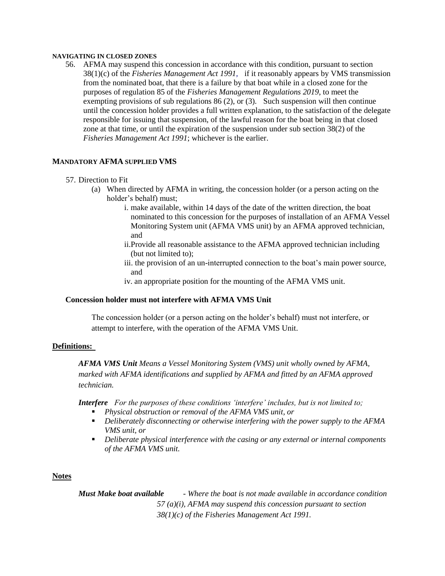#### **NAVIGATING IN CLOSED ZONES**

56. AFMA may suspend this concession in accordance with this condition, pursuant to section 38(1)(c) of the *Fisheries Management Act 1991,* if it reasonably appears by VMS transmission from the nominated boat, that there is a failure by that boat while in a closed zone for the purposes of regulation 85 of the *Fisheries Management Regulations 2019*, to meet the exempting provisions of sub regulations 86 (2), or (3)*.* Such suspension will then continue until the concession holder provides a full written explanation, to the satisfaction of the delegate responsible for issuing that suspension, of the lawful reason for the boat being in that closed zone at that time, or until the expiration of the suspension under sub section 38(2) of the *Fisheries Management Act 1991*; whichever is the earlier.

### **MANDATORY AFMA SUPPLIED VMS**

- 57. Direction to Fit
	- (a) When directed by AFMA in writing, the concession holder (or a person acting on the holder's behalf) must;
		- i. make available, within 14 days of the date of the written direction, the boat nominated to this concession for the purposes of installation of an AFMA Vessel Monitoring System unit (AFMA VMS unit) by an AFMA approved technician, and
		- ii.Provide all reasonable assistance to the AFMA approved technician including (but not limited to);
		- iii. the provision of an un-interrupted connection to the boat's main power source, and
		- iv. an appropriate position for the mounting of the AFMA VMS unit.

### **Concession holder must not interfere with AFMA VMS Unit**

The concession holder (or a person acting on the holder's behalf) must not interfere, or attempt to interfere, with the operation of the AFMA VMS Unit.

#### **Definitions:**

*AFMA VMS Unit Means a Vessel Monitoring System (VMS) unit wholly owned by AFMA, marked with AFMA identifications and supplied by AFMA and fitted by an AFMA approved technician.*

*Interfere For the purposes of these conditions 'interfere' includes, but is not limited to;*

- *Physical obstruction or removal of the AFMA VMS unit, or*
- *Deliberately disconnecting or otherwise interfering with the power supply to the AFMA VMS unit, or*
- *Deliberate physical interference with the casing or any external or internal components of the AFMA VMS unit.*

### **Notes**

*Must Make boat available - Where the boat is not made available in accordance condition 57 (a)(i), AFMA may suspend this concession pursuant to section 38(1)(c) of the Fisheries Management Act 1991.*